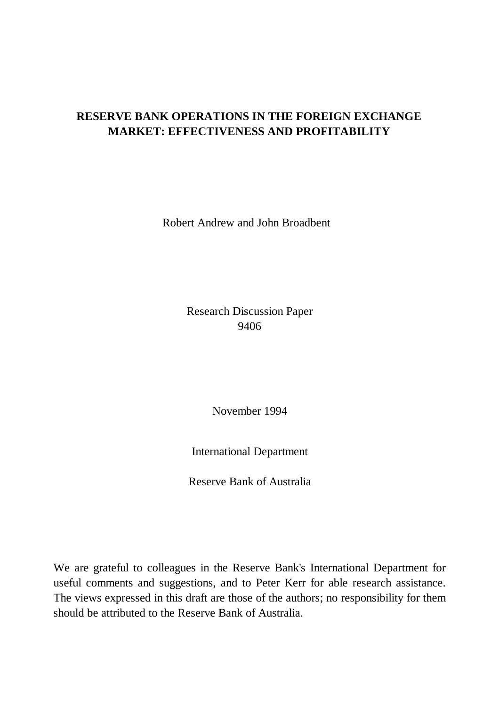# **RESERVE BANK OPERATIONS IN THE FOREIGN EXCHANGE MARKET: EFFECTIVENESS AND PROFITABILITY**

Robert Andrew and John Broadbent

Research Discussion Paper 9406

November 1994

International Department

Reserve Bank of Australia

We are grateful to colleagues in the Reserve Bank's International Department for useful comments and suggestions, and to Peter Kerr for able research assistance. The views expressed in this draft are those of the authors; no responsibility for them should be attributed to the Reserve Bank of Australia.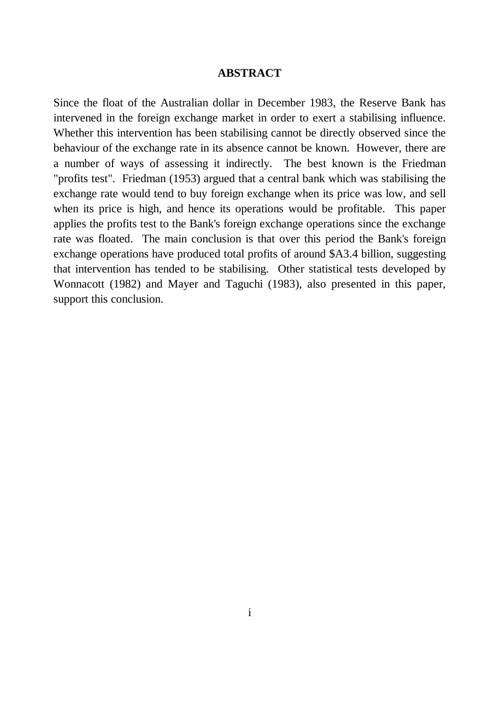#### **ABSTRACT**

Since the float of the Australian dollar in December 1983, the Reserve Bank has intervened in the foreign exchange market in order to exert a stabilising influence. Whether this intervention has been stabilising cannot be directly observed since the behaviour of the exchange rate in its absence cannot be known. However, there are a number of ways of assessing it indirectly. The best known is the Friedman "profits test". Friedman (1953) argued that a central bank which was stabilising the exchange rate would tend to buy foreign exchange when its price was low, and sell when its price is high, and hence its operations would be profitable. This paper applies the profits test to the Bank's foreign exchange operations since the exchange rate was floated. The main conclusion is that over this period the Bank's foreign exchange operations have produced total profits of around \$A3.4 billion, suggesting that intervention has tended to be stabilising. Other statistical tests developed by Wonnacott (1982) and Mayer and Taguchi (1983), also presented in this paper, support this conclusion.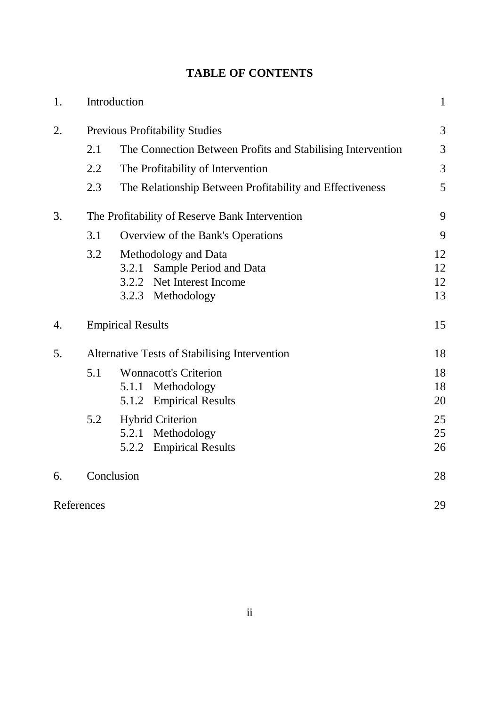# **TABLE OF CONTENTS**

| 1. |                                                | Introduction                                                                                              | $\mathbf{1}$         |  |  |  |
|----|------------------------------------------------|-----------------------------------------------------------------------------------------------------------|----------------------|--|--|--|
| 2. | <b>Previous Profitability Studies</b>          |                                                                                                           |                      |  |  |  |
|    | 2.1                                            | The Connection Between Profits and Stabilising Intervention                                               | 3                    |  |  |  |
|    | 2.2                                            | The Profitability of Intervention                                                                         | 3                    |  |  |  |
|    | 2.3                                            | The Relationship Between Profitability and Effectiveness                                                  | 5                    |  |  |  |
| 3. | The Profitability of Reserve Bank Intervention |                                                                                                           |                      |  |  |  |
|    | 3.1                                            | Overview of the Bank's Operations                                                                         | 9                    |  |  |  |
|    | 3.2                                            | Methodology and Data<br>Sample Period and Data<br>3.2.1<br>3.2.2 Net Interest Income<br>3.2.3 Methodology | 12<br>12<br>12<br>13 |  |  |  |
| 4. |                                                | <b>Empirical Results</b>                                                                                  | 15                   |  |  |  |
| 5. |                                                | Alternative Tests of Stabilising Intervention                                                             | 18                   |  |  |  |
|    | 5.1                                            | <b>Wonnacott's Criterion</b><br>Methodology<br>5.1.1<br>5.1.2 Empirical Results                           | 18<br>18<br>20       |  |  |  |
|    | 5.2                                            | <b>Hybrid Criterion</b><br>5.2.1 Methodology<br>5.2.2 Empirical Results                                   | 25<br>25<br>26       |  |  |  |
| 6. |                                                | Conclusion                                                                                                | 28                   |  |  |  |
|    | References                                     |                                                                                                           | 29                   |  |  |  |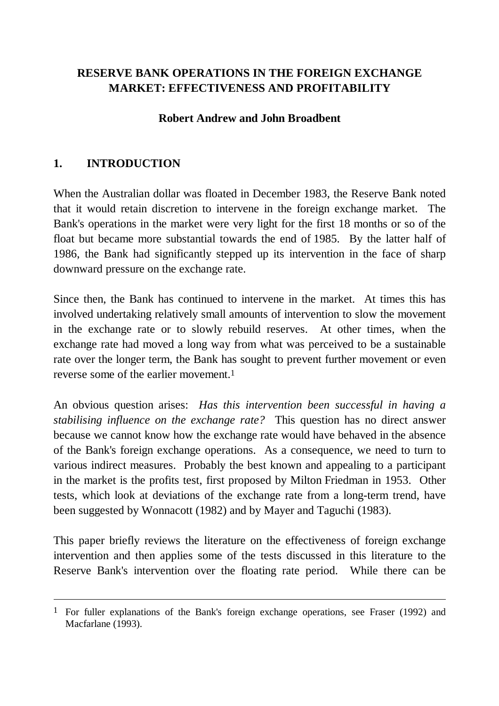# **RESERVE BANK OPERATIONS IN THE FOREIGN EXCHANGE MARKET: EFFECTIVENESS AND PROFITABILITY**

#### **Robert Andrew and John Broadbent**

## **1. INTRODUCTION**

 $\overline{a}$ 

When the Australian dollar was floated in December 1983, the Reserve Bank noted that it would retain discretion to intervene in the foreign exchange market. The Bank's operations in the market were very light for the first 18 months or so of the float but became more substantial towards the end of 1985. By the latter half of 1986, the Bank had significantly stepped up its intervention in the face of sharp downward pressure on the exchange rate.

Since then, the Bank has continued to intervene in the market. At times this has involved undertaking relatively small amounts of intervention to slow the movement in the exchange rate or to slowly rebuild reserves. At other times, when the exchange rate had moved a long way from what was perceived to be a sustainable rate over the longer term, the Bank has sought to prevent further movement or even reverse some of the earlier movement.<sup>1</sup>

An obvious question arises: *Has this intervention been successful in having a stabilising influence on the exchange rate?* This question has no direct answer because we cannot know how the exchange rate would have behaved in the absence of the Bank's foreign exchange operations. As a consequence, we need to turn to various indirect measures. Probably the best known and appealing to a participant in the market is the profits test, first proposed by Milton Friedman in 1953. Other tests, which look at deviations of the exchange rate from a long-term trend, have been suggested by Wonnacott (1982) and by Mayer and Taguchi (1983).

This paper briefly reviews the literature on the effectiveness of foreign exchange intervention and then applies some of the tests discussed in this literature to the Reserve Bank's intervention over the floating rate period. While there can be

<sup>1</sup> For fuller explanations of the Bank's foreign exchange operations, see Fraser (1992) and Macfarlane (1993).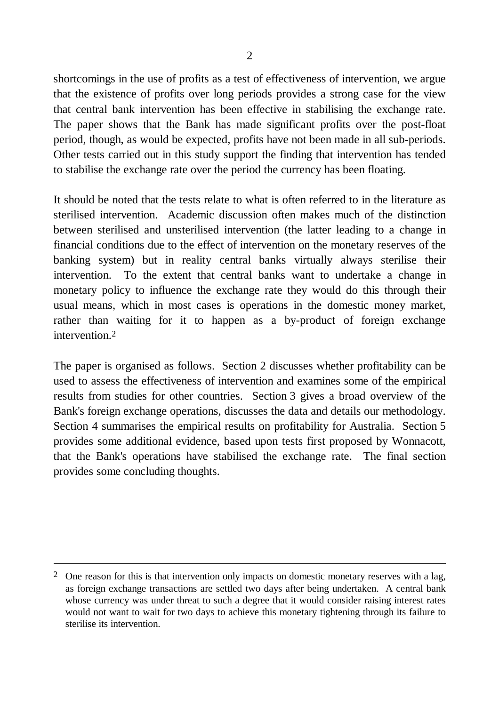shortcomings in the use of profits as a test of effectiveness of intervention, we argue that the existence of profits over long periods provides a strong case for the view that central bank intervention has been effective in stabilising the exchange rate. The paper shows that the Bank has made significant profits over the post-float period, though, as would be expected, profits have not been made in all sub-periods. Other tests carried out in this study support the finding that intervention has tended to stabilise the exchange rate over the period the currency has been floating.

It should be noted that the tests relate to what is often referred to in the literature as sterilised intervention. Academic discussion often makes much of the distinction between sterilised and unsterilised intervention (the latter leading to a change in financial conditions due to the effect of intervention on the monetary reserves of the banking system) but in reality central banks virtually always sterilise their intervention. To the extent that central banks want to undertake a change in monetary policy to influence the exchange rate they would do this through their usual means, which in most cases is operations in the domestic money market, rather than waiting for it to happen as a by-product of foreign exchange intervention.2

The paper is organised as follows. Section 2 discusses whether profitability can be used to assess the effectiveness of intervention and examines some of the empirical results from studies for other countries. Section 3 gives a broad overview of the Bank's foreign exchange operations, discusses the data and details our methodology. Section 4 summarises the empirical results on profitability for Australia. Section 5 provides some additional evidence, based upon tests first proposed by Wonnacott, that the Bank's operations have stabilised the exchange rate. The final section provides some concluding thoughts.

 $\overline{a}$ 

<sup>&</sup>lt;sup>2</sup> One reason for this is that intervention only impacts on domestic monetary reserves with a lag, as foreign exchange transactions are settled two days after being undertaken. A central bank whose currency was under threat to such a degree that it would consider raising interest rates would not want to wait for two days to achieve this monetary tightening through its failure to sterilise its intervention.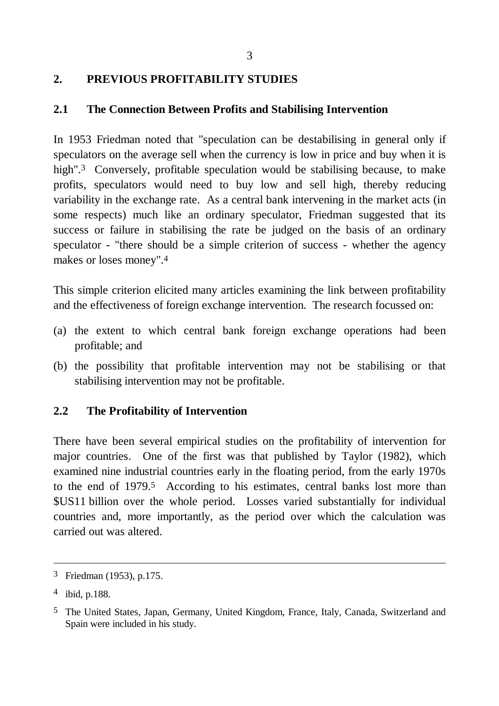# **2. PREVIOUS PROFITABILITY STUDIES**

### **2.1 The Connection Between Profits and Stabilising Intervention**

In 1953 Friedman noted that "speculation can be destabilising in general only if speculators on the average sell when the currency is low in price and buy when it is high".<sup>3</sup> Conversely, profitable speculation would be stabilising because, to make profits, speculators would need to buy low and sell high, thereby reducing variability in the exchange rate. As a central bank intervening in the market acts (in some respects) much like an ordinary speculator, Friedman suggested that its success or failure in stabilising the rate be judged on the basis of an ordinary speculator - "there should be a simple criterion of success - whether the agency makes or loses money".4

This simple criterion elicited many articles examining the link between profitability and the effectiveness of foreign exchange intervention. The research focussed on:

- (a) the extent to which central bank foreign exchange operations had been profitable; and
- (b) the possibility that profitable intervention may not be stabilising or that stabilising intervention may not be profitable.

# **2.2 The Profitability of Intervention**

There have been several empirical studies on the profitability of intervention for major countries. One of the first was that published by Taylor (1982), which examined nine industrial countries early in the floating period, from the early 1970s to the end of 1979.<sup>5</sup> According to his estimates, central banks lost more than \$US11 billion over the whole period. Losses varied substantially for individual countries and, more importantly, as the period over which the calculation was carried out was altered.

l

<sup>3</sup> Friedman (1953), p.175.

<sup>4</sup> ibid, p.188.

<sup>5</sup> The United States, Japan, Germany, United Kingdom, France, Italy, Canada, Switzerland and Spain were included in his study.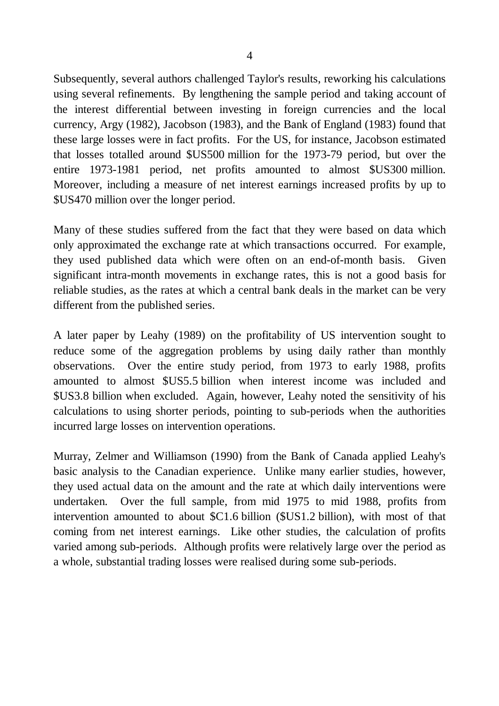Subsequently, several authors challenged Taylor's results, reworking his calculations using several refinements. By lengthening the sample period and taking account of the interest differential between investing in foreign currencies and the local currency, Argy (1982), Jacobson (1983), and the Bank of England (1983) found that these large losses were in fact profits. For the US, for instance, Jacobson estimated that losses totalled around \$US500 million for the 1973-79 period, but over the entire 1973-1981 period, net profits amounted to almost \$US300 million. Moreover, including a measure of net interest earnings increased profits by up to \$US470 million over the longer period.

Many of these studies suffered from the fact that they were based on data which only approximated the exchange rate at which transactions occurred. For example, they used published data which were often on an end-of-month basis. Given significant intra-month movements in exchange rates, this is not a good basis for reliable studies, as the rates at which a central bank deals in the market can be very different from the published series.

A later paper by Leahy (1989) on the profitability of US intervention sought to reduce some of the aggregation problems by using daily rather than monthly observations. Over the entire study period, from 1973 to early 1988, profits amounted to almost \$US5.5 billion when interest income was included and \$US3.8 billion when excluded. Again, however, Leahy noted the sensitivity of his calculations to using shorter periods, pointing to sub-periods when the authorities incurred large losses on intervention operations.

Murray, Zelmer and Williamson (1990) from the Bank of Canada applied Leahy's basic analysis to the Canadian experience. Unlike many earlier studies, however, they used actual data on the amount and the rate at which daily interventions were undertaken. Over the full sample, from mid 1975 to mid 1988, profits from intervention amounted to about \$C1.6 billion (\$US1.2 billion), with most of that coming from net interest earnings. Like other studies, the calculation of profits varied among sub-periods. Although profits were relatively large over the period as a whole, substantial trading losses were realised during some sub-periods.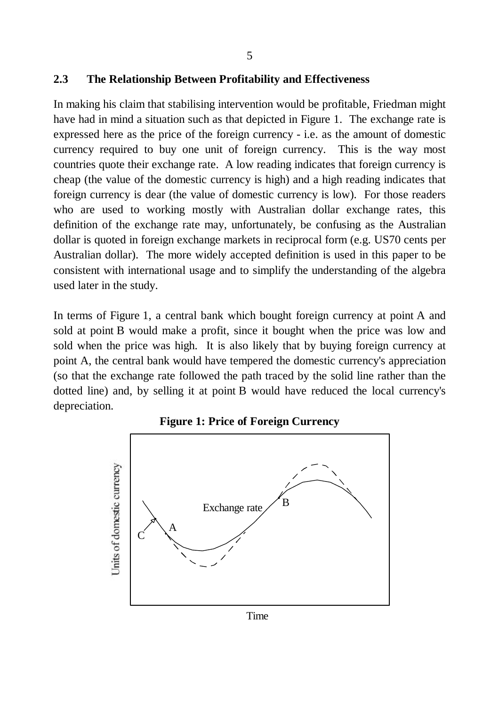#### **2.3 The Relationship Between Profitability and Effectiveness**

In making his claim that stabilising intervention would be profitable, Friedman might have had in mind a situation such as that depicted in Figure 1. The exchange rate is expressed here as the price of the foreign currency - i.e. as the amount of domestic currency required to buy one unit of foreign currency. This is the way most countries quote their exchange rate. A low reading indicates that foreign currency is cheap (the value of the domestic currency is high) and a high reading indicates that foreign currency is dear (the value of domestic currency is low). For those readers who are used to working mostly with Australian dollar exchange rates, this definition of the exchange rate may, unfortunately, be confusing as the Australian dollar is quoted in foreign exchange markets in reciprocal form (e.g. US70 cents per Australian dollar). The more widely accepted definition is used in this paper to be consistent with international usage and to simplify the understanding of the algebra used later in the study.

In terms of Figure 1, a central bank which bought foreign currency at point A and sold at point B would make a profit, since it bought when the price was low and sold when the price was high. It is also likely that by buying foreign currency at point A, the central bank would have tempered the domestic currency's appreciation (so that the exchange rate followed the path traced by the solid line rather than the dotted line) and, by selling it at point B would have reduced the local currency's depreciation.



#### **Figure 1: Price of Foreign Currency**

Time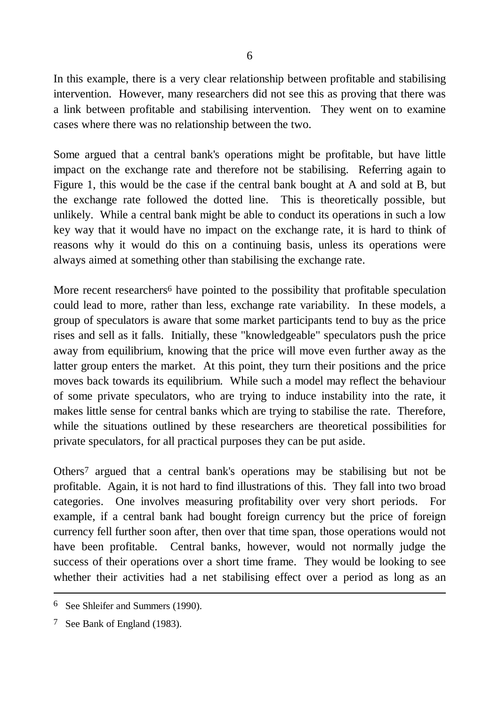In this example, there is a very clear relationship between profitable and stabilising intervention. However, many researchers did not see this as proving that there was a link between profitable and stabilising intervention. They went on to examine cases where there was no relationship between the two.

Some argued that a central bank's operations might be profitable, but have little impact on the exchange rate and therefore not be stabilising. Referring again to Figure 1, this would be the case if the central bank bought at A and sold at B, but the exchange rate followed the dotted line. This is theoretically possible, but unlikely. While a central bank might be able to conduct its operations in such a low key way that it would have no impact on the exchange rate, it is hard to think of reasons why it would do this on a continuing basis, unless its operations were always aimed at something other than stabilising the exchange rate.

More recent researchers<sup>6</sup> have pointed to the possibility that profitable speculation could lead to more, rather than less, exchange rate variability. In these models, a group of speculators is aware that some market participants tend to buy as the price rises and sell as it falls. Initially, these "knowledgeable" speculators push the price away from equilibrium, knowing that the price will move even further away as the latter group enters the market. At this point, they turn their positions and the price moves back towards its equilibrium. While such a model may reflect the behaviour of some private speculators, who are trying to induce instability into the rate, it makes little sense for central banks which are trying to stabilise the rate. Therefore, while the situations outlined by these researchers are theoretical possibilities for private speculators, for all practical purposes they can be put aside.

Others7 argued that a central bank's operations may be stabilising but not be profitable. Again, it is not hard to find illustrations of this. They fall into two broad categories. One involves measuring profitability over very short periods. For example, if a central bank had bought foreign currency but the price of foreign currency fell further soon after, then over that time span, those operations would not have been profitable. Central banks, however, would not normally judge the success of their operations over a short time frame. They would be looking to see whether their activities had a net stabilising effect over a period as long as an

 $\overline{a}$ 

<sup>6</sup> See Shleifer and Summers (1990).

<sup>7</sup> See Bank of England (1983).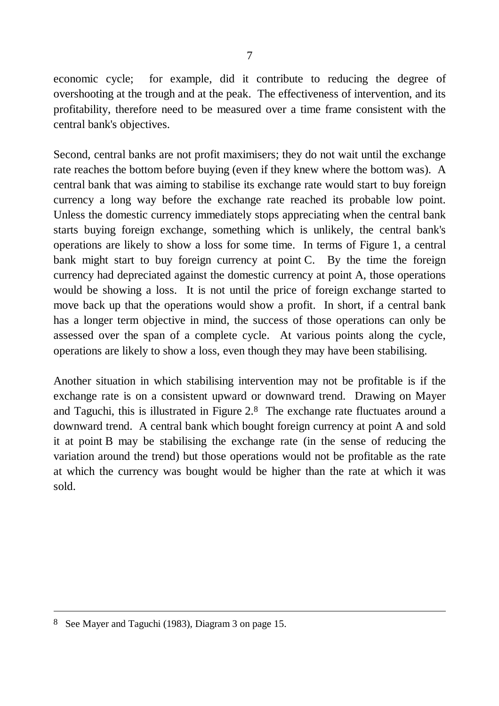economic cycle; for example, did it contribute to reducing the degree of overshooting at the trough and at the peak. The effectiveness of intervention, and its profitability, therefore need to be measured over a time frame consistent with the central bank's objectives.

Second, central banks are not profit maximisers; they do not wait until the exchange rate reaches the bottom before buying (even if they knew where the bottom was). A central bank that was aiming to stabilise its exchange rate would start to buy foreign currency a long way before the exchange rate reached its probable low point. Unless the domestic currency immediately stops appreciating when the central bank starts buying foreign exchange, something which is unlikely, the central bank's operations are likely to show a loss for some time. In terms of Figure 1, a central bank might start to buy foreign currency at point C. By the time the foreign currency had depreciated against the domestic currency at point A, those operations would be showing a loss. It is not until the price of foreign exchange started to move back up that the operations would show a profit. In short, if a central bank has a longer term objective in mind, the success of those operations can only be assessed over the span of a complete cycle. At various points along the cycle, operations are likely to show a loss, even though they may have been stabilising.

Another situation in which stabilising intervention may not be profitable is if the exchange rate is on a consistent upward or downward trend. Drawing on Mayer and Taguchi, this is illustrated in Figure 2.8 The exchange rate fluctuates around a downward trend. A central bank which bought foreign currency at point A and sold it at point B may be stabilising the exchange rate (in the sense of reducing the variation around the trend) but those operations would not be profitable as the rate at which the currency was bought would be higher than the rate at which it was sold.

l

<sup>8</sup> See Mayer and Taguchi (1983), Diagram 3 on page 15.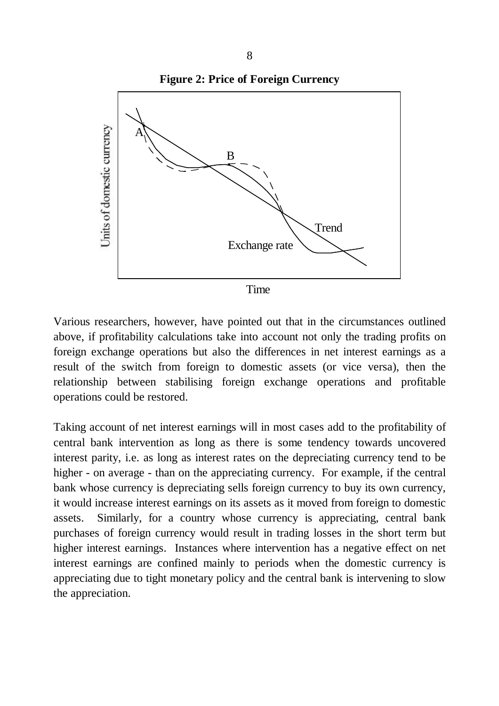

Various researchers, however, have pointed out that in the circumstances outlined above, if profitability calculations take into account not only the trading profits on foreign exchange operations but also the differences in net interest earnings as a result of the switch from foreign to domestic assets (or vice versa), then the relationship between stabilising foreign exchange operations and profitable operations could be restored.

Taking account of net interest earnings will in most cases add to the profitability of central bank intervention as long as there is some tendency towards uncovered interest parity, i.e. as long as interest rates on the depreciating currency tend to be higher - on average - than on the appreciating currency. For example, if the central bank whose currency is depreciating sells foreign currency to buy its own currency, it would increase interest earnings on its assets as it moved from foreign to domestic assets. Similarly, for a country whose currency is appreciating, central bank purchases of foreign currency would result in trading losses in the short term but higher interest earnings. Instances where intervention has a negative effect on net interest earnings are confined mainly to periods when the domestic currency is appreciating due to tight monetary policy and the central bank is intervening to slow the appreciation.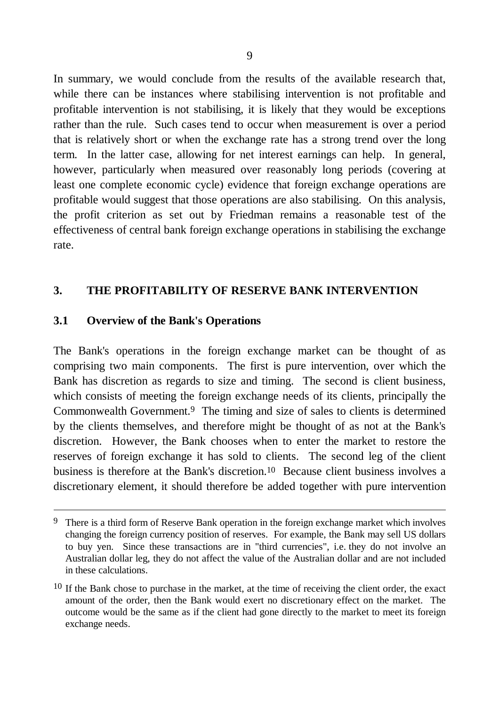In summary, we would conclude from the results of the available research that, while there can be instances where stabilising intervention is not profitable and profitable intervention is not stabilising, it is likely that they would be exceptions rather than the rule. Such cases tend to occur when measurement is over a period that is relatively short or when the exchange rate has a strong trend over the long term. In the latter case, allowing for net interest earnings can help. In general, however, particularly when measured over reasonably long periods (covering at least one complete economic cycle) evidence that foreign exchange operations are profitable would suggest that those operations are also stabilising. On this analysis, the profit criterion as set out by Friedman remains a reasonable test of the effectiveness of central bank foreign exchange operations in stabilising the exchange rate.

### **3. THE PROFITABILITY OF RESERVE BANK INTERVENTION**

#### **3.1 Overview of the Bank's Operations**

l

The Bank's operations in the foreign exchange market can be thought of as comprising two main components. The first is pure intervention, over which the Bank has discretion as regards to size and timing. The second is client business, which consists of meeting the foreign exchange needs of its clients, principally the Commonwealth Government.9 The timing and size of sales to clients is determined by the clients themselves, and therefore might be thought of as not at the Bank's discretion. However, the Bank chooses when to enter the market to restore the reserves of foreign exchange it has sold to clients. The second leg of the client business is therefore at the Bank's discretion.10 Because client business involves a discretionary element, it should therefore be added together with pure intervention

<sup>&</sup>lt;sup>9</sup> There is a third form of Reserve Bank operation in the foreign exchange market which involves changing the foreign currency position of reserves. For example, the Bank may sell US dollars to buy yen. Since these transactions are in "third currencies", i.e. they do not involve an Australian dollar leg, they do not affect the value of the Australian dollar and are not included in these calculations.

<sup>&</sup>lt;sup>10</sup> If the Bank chose to purchase in the market, at the time of receiving the client order, the exact amount of the order, then the Bank would exert no discretionary effect on the market. The outcome would be the same as if the client had gone directly to the market to meet its foreign exchange needs.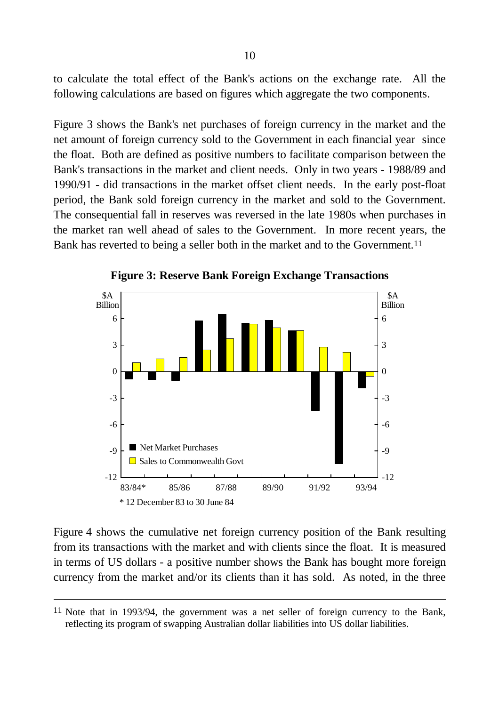to calculate the total effect of the Bank's actions on the exchange rate. All the following calculations are based on figures which aggregate the two components.

Figure 3 shows the Bank's net purchases of foreign currency in the market and the net amount of foreign currency sold to the Government in each financial year since the float. Both are defined as positive numbers to facilitate comparison between the Bank's transactions in the market and client needs. Only in two years - 1988/89 and 1990/91 - did transactions in the market offset client needs. In the early post-float period, the Bank sold foreign currency in the market and sold to the Government. The consequential fall in reserves was reversed in the late 1980s when purchases in the market ran well ahead of sales to the Government. In more recent years, the Bank has reverted to being a seller both in the market and to the Government.<sup>11</sup>



**Figure 3: Reserve Bank Foreign Exchange Transactions**

Figure 4 shows the cumulative net foreign currency position of the Bank resulting from its transactions with the market and with clients since the float. It is measured in terms of US dollars - a positive number shows the Bank has bought more foreign currency from the market and/or its clients than it has sold. As noted, in the three

 $\overline{a}$ 

<sup>11</sup> Note that in 1993/94, the government was a net seller of foreign currency to the Bank, reflecting its program of swapping Australian dollar liabilities into US dollar liabilities.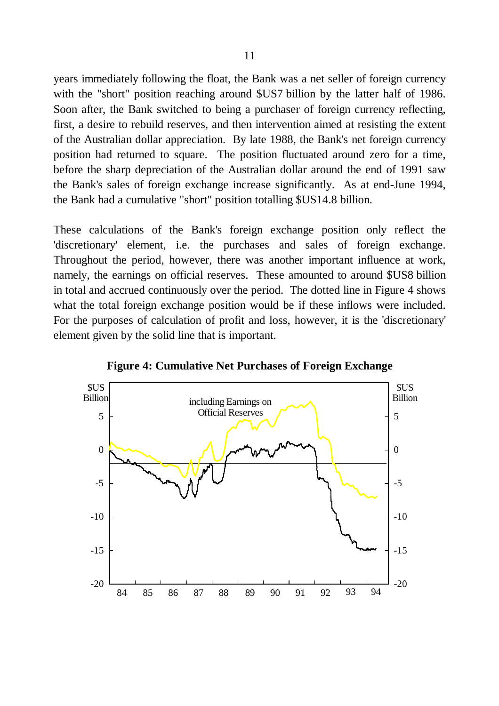years immediately following the float, the Bank was a net seller of foreign currency with the "short" position reaching around \$US7 billion by the latter half of 1986. Soon after, the Bank switched to being a purchaser of foreign currency reflecting, first, a desire to rebuild reserves, and then intervention aimed at resisting the extent of the Australian dollar appreciation. By late 1988, the Bank's net foreign currency position had returned to square. The position fluctuated around zero for a time, before the sharp depreciation of the Australian dollar around the end of 1991 saw the Bank's sales of foreign exchange increase significantly. As at end-June 1994, the Bank had a cumulative "short" position totalling \$US14.8 billion.

These calculations of the Bank's foreign exchange position only reflect the 'discretionary' element, i.e. the purchases and sales of foreign exchange. Throughout the period, however, there was another important influence at work, namely, the earnings on official reserves. These amounted to around \$US8 billion in total and accrued continuously over the period. The dotted line in Figure 4 shows what the total foreign exchange position would be if these inflows were included. For the purposes of calculation of profit and loss, however, it is the 'discretionary' element given by the solid line that is important.



**Figure 4: Cumulative Net Purchases of Foreign Exchange**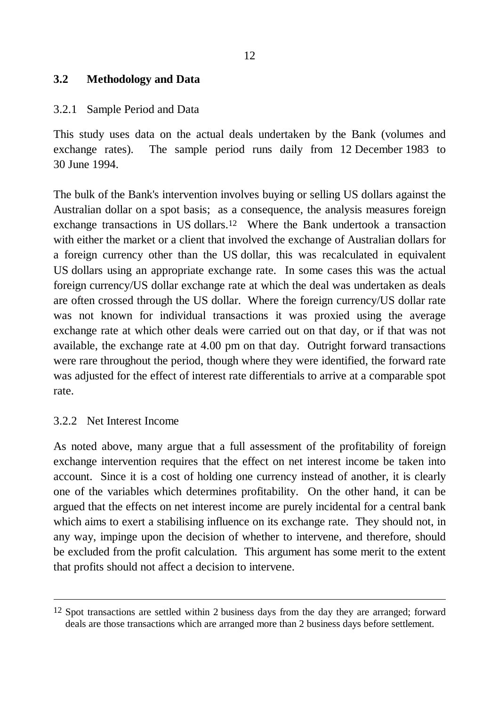### **3.2 Methodology and Data**

#### 3.2.1 Sample Period and Data

This study uses data on the actual deals undertaken by the Bank (volumes and exchange rates). The sample period runs daily from 12 December 1983 to 30 June 1994.

The bulk of the Bank's intervention involves buying or selling US dollars against the Australian dollar on a spot basis; as a consequence, the analysis measures foreign exchange transactions in US dollars.12 Where the Bank undertook a transaction with either the market or a client that involved the exchange of Australian dollars for a foreign currency other than the US dollar, this was recalculated in equivalent US dollars using an appropriate exchange rate. In some cases this was the actual foreign currency/US dollar exchange rate at which the deal was undertaken as deals are often crossed through the US dollar. Where the foreign currency/US dollar rate was not known for individual transactions it was proxied using the average exchange rate at which other deals were carried out on that day, or if that was not available, the exchange rate at 4.00 pm on that day. Outright forward transactions were rare throughout the period, though where they were identified, the forward rate was adjusted for the effect of interest rate differentials to arrive at a comparable spot rate.

#### 3.2.2 Net Interest Income

 $\overline{a}$ 

As noted above, many argue that a full assessment of the profitability of foreign exchange intervention requires that the effect on net interest income be taken into account. Since it is a cost of holding one currency instead of another, it is clearly one of the variables which determines profitability. On the other hand, it can be argued that the effects on net interest income are purely incidental for a central bank which aims to exert a stabilising influence on its exchange rate. They should not, in any way, impinge upon the decision of whether to intervene, and therefore, should be excluded from the profit calculation. This argument has some merit to the extent that profits should not affect a decision to intervene.

<sup>&</sup>lt;sup>12</sup> Spot transactions are settled within 2 business days from the day they are arranged; forward deals are those transactions which are arranged more than 2 business days before settlement.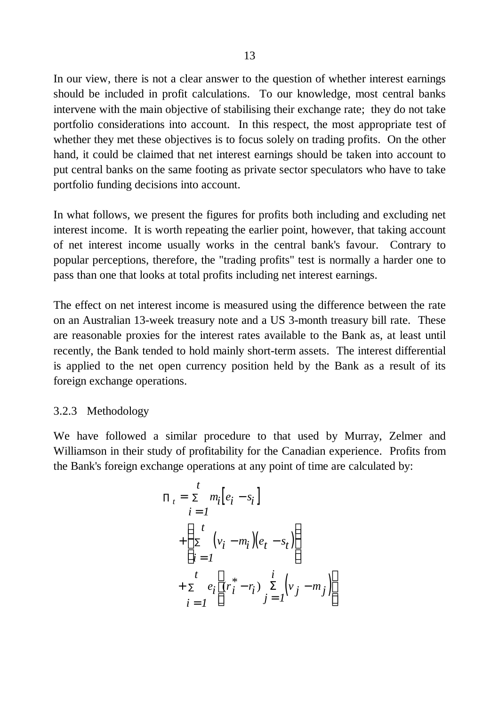In our view, there is not a clear answer to the question of whether interest earnings should be included in profit calculations. To our knowledge, most central banks intervene with the main objective of stabilising their exchange rate; they do not take portfolio considerations into account. In this respect, the most appropriate test of whether they met these objectives is to focus solely on trading profits. On the other hand, it could be claimed that net interest earnings should be taken into account to put central banks on the same footing as private sector speculators who have to take portfolio funding decisions into account.

In what follows, we present the figures for profits both including and excluding net interest income. It is worth repeating the earlier point, however, that taking account of net interest income usually works in the central bank's favour. Contrary to popular perceptions, therefore, the "trading profits" test is normally a harder one to pass than one that looks at total profits including net interest earnings.

The effect on net interest income is measured using the difference between the rate on an Australian 13-week treasury note and a US 3-month treasury bill rate. These are reasonable proxies for the interest rates available to the Bank as, at least until recently, the Bank tended to hold mainly short-term assets. The interest differential is applied to the net open currency position held by the Bank as a result of its foreign exchange operations.

### 3.2.3 Methodology

We have followed a similar procedure to that used by Murray, Zelmer and Williamson in their study of profitability for the Canadian experience. Profits from the Bank's foreign exchange operations at any point of time are calculated by:

$$
\Pi_{t} = \sum_{i=1}^{t} m_{i} [e_{i} - s_{i}]
$$
  
+ 
$$
\begin{cases} t \\ \sum_{i=1}^{t} (v_{i} - m_{i}) (e_{t} - s_{t}) \\ t \\ + \sum_{i=1}^{t} e_{i} \left[ (r_{i}^{*} - r_{i}) \sum_{j=1}^{s} (v_{j} - m_{j}) \right] \end{cases}
$$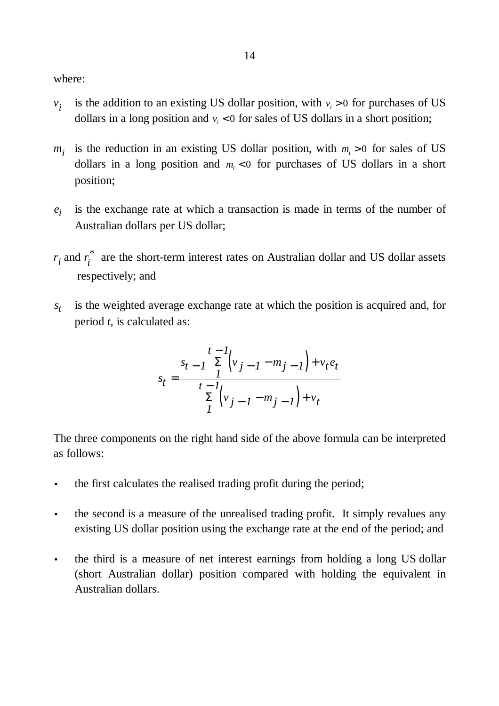where:

- *v i* is the addition to an existing US dollar position, with  $v_i > 0$  for purchases of US dollars in a long position and  $v_i < 0$  for sales of US dollars in a short position;
- $m<sub>i</sub>$ is the reduction in an existing US dollar position, with  $m_i > 0$  for sales of US dollars in a long position and  $m<sub>i</sub> < 0$  for purchases of US dollars in a short position;
- *ei* is the exchange rate at which a transaction is made in terms of the number of Australian dollars per US dollar;
- $r_i$  and  $r_i$ \* are the short-term interest rates on Australian dollar and US dollar assets respectively; and
- *st* is the weighted average exchange rate at which the position is acquired and, for period *t*, is calculated as:

$$
s_{t} = \frac{\sum_{t=1}^{t-1} \binom{t}{t} (v_{j-1} - m_{j-1}) + v_{t} e_{t}}{\sum_{t=1}^{t-1} \binom{t}{t} (v_{j-1} - m_{j-1}) + v_{t}}
$$

The three components on the right hand side of the above formula can be interpreted as follows:

- the first calculates the realised trading profit during the period;
- the second is a measure of the unrealised trading profit. It simply revalues any existing US dollar position using the exchange rate at the end of the period; and
- the third is a measure of net interest earnings from holding a long US dollar (short Australian dollar) position compared with holding the equivalent in Australian dollars.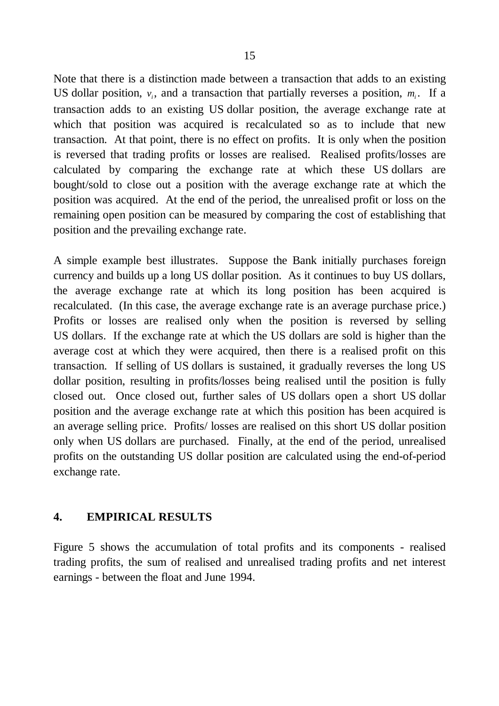Note that there is a distinction made between a transaction that adds to an existing US dollar position,  $v_i$ , and a transaction that partially reverses a position,  $m_i$ . If a transaction adds to an existing US dollar position, the average exchange rate at which that position was acquired is recalculated so as to include that new transaction. At that point, there is no effect on profits. It is only when the position is reversed that trading profits or losses are realised. Realised profits/losses are calculated by comparing the exchange rate at which these US dollars are bought/sold to close out a position with the average exchange rate at which the position was acquired. At the end of the period, the unrealised profit or loss on the remaining open position can be measured by comparing the cost of establishing that position and the prevailing exchange rate.

A simple example best illustrates. Suppose the Bank initially purchases foreign currency and builds up a long US dollar position. As it continues to buy US dollars, the average exchange rate at which its long position has been acquired is recalculated. (In this case, the average exchange rate is an average purchase price.) Profits or losses are realised only when the position is reversed by selling US dollars. If the exchange rate at which the US dollars are sold is higher than the average cost at which they were acquired, then there is a realised profit on this transaction. If selling of US dollars is sustained, it gradually reverses the long US dollar position, resulting in profits/losses being realised until the position is fully closed out. Once closed out, further sales of US dollars open a short US dollar position and the average exchange rate at which this position has been acquired is an average selling price. Profits/ losses are realised on this short US dollar position only when US dollars are purchased. Finally, at the end of the period, unrealised profits on the outstanding US dollar position are calculated using the end-of-period exchange rate.

### **4. EMPIRICAL RESULTS**

Figure 5 shows the accumulation of total profits and its components - realised trading profits, the sum of realised and unrealised trading profits and net interest earnings - between the float and June 1994.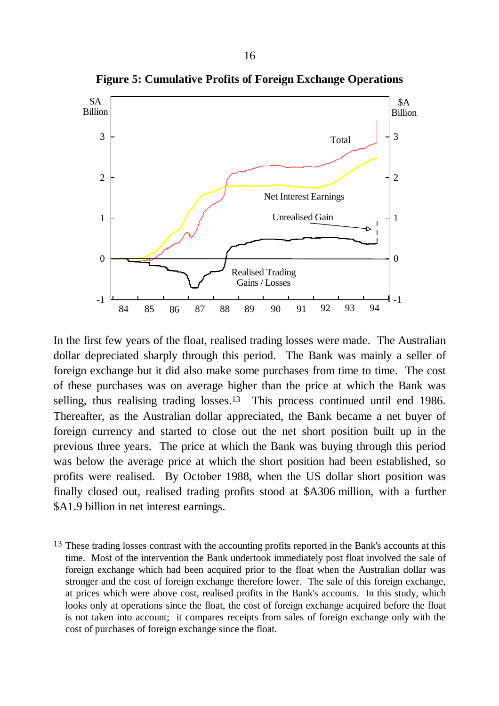

**Figure 5: Cumulative Profits of Foreign Exchange Operations**

In the first few years of the float, realised trading losses were made. The Australian dollar depreciated sharply through this period. The Bank was mainly a seller of foreign exchange but it did also make some purchases from time to time. The cost of these purchases was on average higher than the price at which the Bank was selling, thus realising trading losses.<sup>13</sup> This process continued until end 1986. Thereafter, as the Australian dollar appreciated, the Bank became a net buyer of foreign currency and started to close out the net short position built up in the previous three years. The price at which the Bank was buying through this period was below the average price at which the short position had been established, so profits were realised. By October 1988, when the US dollar short position was finally closed out, realised trading profits stood at \$A306 million, with a further \$A1.9 billion in net interest earnings.

 $\overline{a}$ 

<sup>&</sup>lt;sup>13</sup> These trading losses contrast with the accounting profits reported in the Bank's accounts at this time. Most of the intervention the Bank undertook immediately post float involved the sale of foreign exchange which had been acquired prior to the float when the Australian dollar was stronger and the cost of foreign exchange therefore lower. The sale of this foreign exchange, at prices which were above cost, realised profits in the Bank's accounts. In this study, which looks only at operations since the float, the cost of foreign exchange acquired before the float is not taken into account; it compares receipts from sales of foreign exchange only with the cost of purchases of foreign exchange since the float.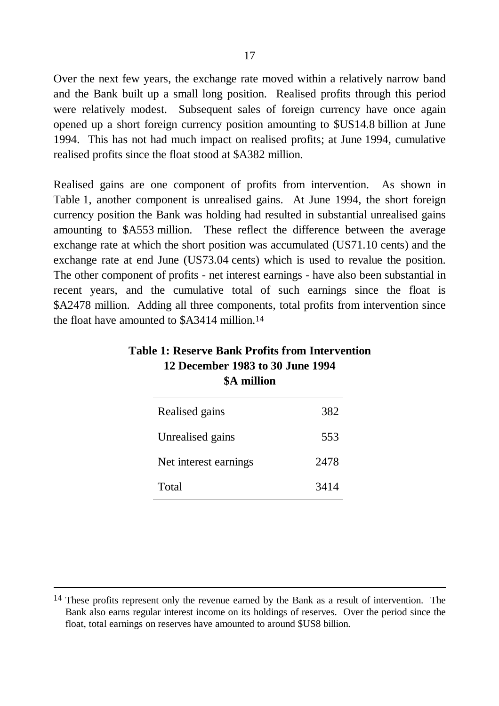Over the next few years, the exchange rate moved within a relatively narrow band and the Bank built up a small long position. Realised profits through this period were relatively modest. Subsequent sales of foreign currency have once again opened up a short foreign currency position amounting to \$US14.8 billion at June 1994. This has not had much impact on realised profits; at June 1994, cumulative realised profits since the float stood at \$A382 million.

Realised gains are one component of profits from intervention. As shown in Table 1, another component is unrealised gains. At June 1994, the short foreign currency position the Bank was holding had resulted in substantial unrealised gains amounting to \$A553 million. These reflect the difference between the average exchange rate at which the short position was accumulated (US71.10 cents) and the exchange rate at end June (US73.04 cents) which is used to revalue the position. The other component of profits - net interest earnings - have also been substantial in recent years, and the cumulative total of such earnings since the float is \$A2478 million. Adding all three components, total profits from intervention since the float have amounted to \$A3414 million.14

| Realised gains        | 382  |
|-----------------------|------|
| Unrealised gains      | 553  |
| Net interest earnings | 2478 |
| Total                 | 3414 |

# **Table 1: Reserve Bank Profits from Intervention 12 December 1983 to 30 June 1994 \$A million**

 $\overline{a}$ 

<sup>&</sup>lt;sup>14</sup> These profits represent only the revenue earned by the Bank as a result of intervention. The Bank also earns regular interest income on its holdings of reserves. Over the period since the float, total earnings on reserves have amounted to around \$US8 billion.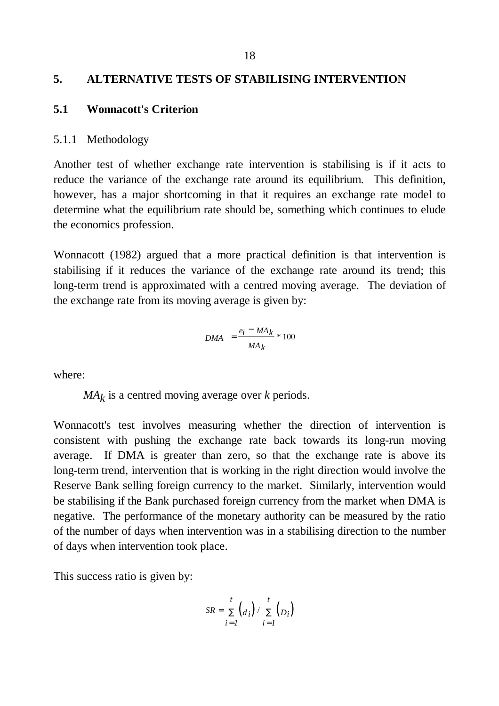#### **5. ALTERNATIVE TESTS OF STABILISING INTERVENTION**

#### **5.1 Wonnacott's Criterion**

#### 5.1.1 Methodology

Another test of whether exchange rate intervention is stabilising is if it acts to reduce the variance of the exchange rate around its equilibrium. This definition, however, has a major shortcoming in that it requires an exchange rate model to determine what the equilibrium rate should be, something which continues to elude the economics profession.

Wonnacott (1982) argued that a more practical definition is that intervention is stabilising if it reduces the variance of the exchange rate around its trend; this long-term trend is approximated with a centred moving average. The deviation of the exchange rate from its moving average is given by:

$$
DMA = \frac{e_i - MA_k}{MA_k} * 100
$$

where:

*MAk* is a centred moving average over *k* periods.

Wonnacott's test involves measuring whether the direction of intervention is consistent with pushing the exchange rate back towards its long-run moving average. If DMA is greater than zero, so that the exchange rate is above its long-term trend, intervention that is working in the right direction would involve the Reserve Bank selling foreign currency to the market. Similarly, intervention would be stabilising if the Bank purchased foreign currency from the market when DMA is negative. The performance of the monetary authority can be measured by the ratio of the number of days when intervention was in a stabilising direction to the number of days when intervention took place.

This success ratio is given by:

$$
SR = \sum_{i=1}^{t} (d_i) / \sum_{i=1}^{t} (D_i)
$$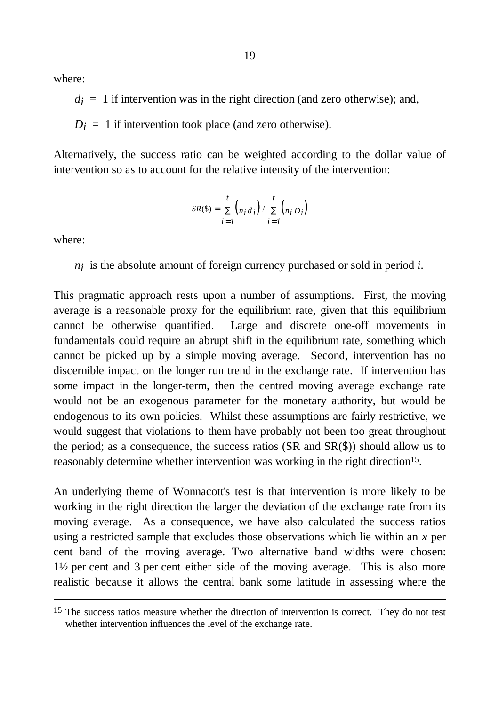where:

 $d_i = 1$  if intervention was in the right direction (and zero otherwise); and,

 $D_i = 1$  if intervention took place (and zero otherwise).

Alternatively, the success ratio can be weighted according to the dollar value of intervention so as to account for the relative intensity of the intervention:

$$
SR(\$) = \sum_{i=1}^{t} {n_i d_i} / \sum_{i=1}^{t} {n_i D_i}
$$

where:

 $\overline{a}$ 

*ni* is the absolute amount of foreign currency purchased or sold in period *i*.

This pragmatic approach rests upon a number of assumptions. First, the moving average is a reasonable proxy for the equilibrium rate, given that this equilibrium cannot be otherwise quantified. Large and discrete one-off movements in fundamentals could require an abrupt shift in the equilibrium rate, something which cannot be picked up by a simple moving average. Second, intervention has no discernible impact on the longer run trend in the exchange rate. If intervention has some impact in the longer-term, then the centred moving average exchange rate would not be an exogenous parameter for the monetary authority, but would be endogenous to its own policies. Whilst these assumptions are fairly restrictive, we would suggest that violations to them have probably not been too great throughout the period; as a consequence, the success ratios (SR and SR(\$)) should allow us to reasonably determine whether intervention was working in the right direction<sup>15</sup>.

An underlying theme of Wonnacott's test is that intervention is more likely to be working in the right direction the larger the deviation of the exchange rate from its moving average. As a consequence, we have also calculated the success ratios using a restricted sample that excludes those observations which lie within an *x* per cent band of the moving average. Two alternative band widths were chosen: 1½ per cent and 3 per cent either side of the moving average. This is also more realistic because it allows the central bank some latitude in assessing where the

<sup>&</sup>lt;sup>15</sup> The success ratios measure whether the direction of intervention is correct. They do not test whether intervention influences the level of the exchange rate.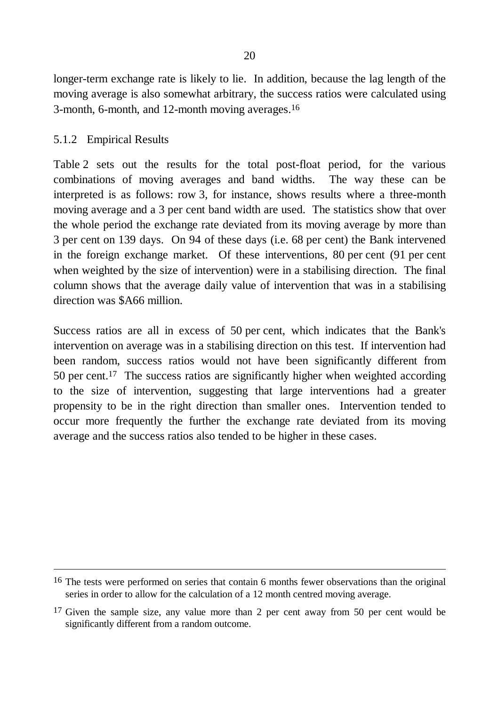longer-term exchange rate is likely to lie. In addition, because the lag length of the moving average is also somewhat arbitrary, the success ratios were calculated using 3-month, 6-month, and 12-month moving averages.16

#### 5.1.2 Empirical Results

 $\overline{a}$ 

Table 2 sets out the results for the total post-float period, for the various combinations of moving averages and band widths. The way these can be interpreted is as follows: row 3, for instance, shows results where a three-month moving average and a 3 per cent band width are used. The statistics show that over the whole period the exchange rate deviated from its moving average by more than 3 per cent on 139 days. On 94 of these days (i.e. 68 per cent) the Bank intervened in the foreign exchange market. Of these interventions, 80 per cent (91 per cent when weighted by the size of intervention) were in a stabilising direction. The final column shows that the average daily value of intervention that was in a stabilising direction was \$A66 million.

Success ratios are all in excess of 50 per cent, which indicates that the Bank's intervention on average was in a stabilising direction on this test. If intervention had been random, success ratios would not have been significantly different from 50 per cent.17 The success ratios are significantly higher when weighted according to the size of intervention, suggesting that large interventions had a greater propensity to be in the right direction than smaller ones. Intervention tended to occur more frequently the further the exchange rate deviated from its moving average and the success ratios also tended to be higher in these cases.

<sup>&</sup>lt;sup>16</sup> The tests were performed on series that contain 6 months fewer observations than the original series in order to allow for the calculation of a 12 month centred moving average.

<sup>&</sup>lt;sup>17</sup> Given the sample size, any value more than 2 per cent away from 50 per cent would be significantly different from a random outcome.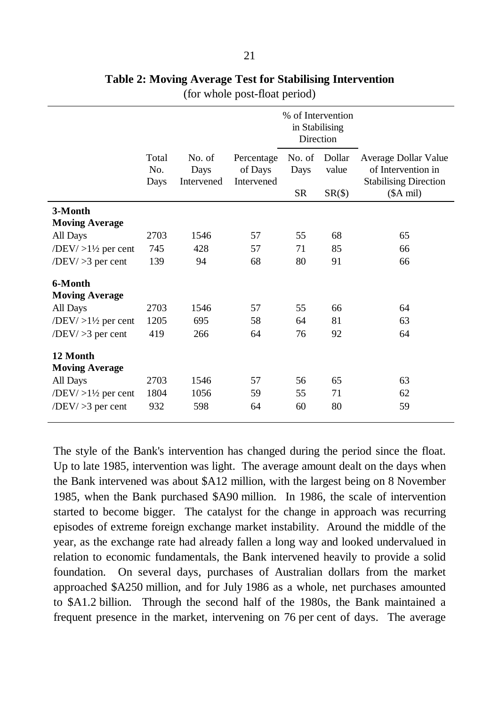|                                                                                                               | Total<br>No.<br>Days | No. of<br>Days<br>Intervened | Percentage<br>of Days<br>Intervened | % of Intervention<br>in Stabilising<br>Direction<br>No. of<br>Days | Dollar<br>value | Average Dollar Value<br>of Intervention in<br><b>Stabilising Direction</b> |
|---------------------------------------------------------------------------------------------------------------|----------------------|------------------------------|-------------------------------------|--------------------------------------------------------------------|-----------------|----------------------------------------------------------------------------|
|                                                                                                               |                      |                              |                                     | <b>SR</b>                                                          | $SR(\text{S})$  | $($A \text{ mil})$                                                         |
| 3-Month<br><b>Moving Average</b>                                                                              |                      |                              |                                     |                                                                    |                 |                                                                            |
| All Days                                                                                                      | 2703                 | 1546                         | 57                                  | 55                                                                 | 68              | 65                                                                         |
| /DEV/ $>1\frac{1}{2}$ per cent                                                                                | 745                  | 428                          | 57                                  | 71                                                                 | 85              | 66                                                                         |
| $\langle DEV \rangle > 3$ per cent                                                                            | 139                  | 94                           | 68                                  | 80                                                                 | 91              | 66                                                                         |
| 6-Month<br><b>Moving Average</b><br>All Days<br>$\langle DEV \rangle > 1\frac{1}{2}$ per cent                 | 2703<br>1205         | 1546<br>695                  | 57<br>58                            | 55<br>64                                                           | 66<br>81        | 64<br>63                                                                   |
| $/$ DEV $/$ $>$ 3 per cent                                                                                    | 419                  | 266                          | 64                                  | 76                                                                 | 92              | 64                                                                         |
| 12 Month<br><b>Moving Average</b><br>All Days<br>/DEV/ $>1\frac{1}{2}$ per cent<br>$/$ DEV $/$ $>$ 3 per cent | 2703<br>1804<br>932  | 1546<br>1056<br>598          | 57<br>59<br>64                      | 56<br>55<br>60                                                     | 65<br>71<br>80  | 63<br>62<br>59                                                             |

# **Table 2: Moving Average Test for Stabilising Intervention**

(for whole post-float period)

The style of the Bank's intervention has changed during the period since the float. Up to late 1985, intervention was light. The average amount dealt on the days when the Bank intervened was about \$A12 million, with the largest being on 8 November 1985, when the Bank purchased \$A90 million. In 1986, the scale of intervention started to become bigger. The catalyst for the change in approach was recurring episodes of extreme foreign exchange market instability. Around the middle of the year, as the exchange rate had already fallen a long way and looked undervalued in relation to economic fundamentals, the Bank intervened heavily to provide a solid foundation. On several days, purchases of Australian dollars from the market approached \$A250 million, and for July 1986 as a whole, net purchases amounted to \$A1.2 billion. Through the second half of the 1980s, the Bank maintained a frequent presence in the market, intervening on 76 per cent of days. The average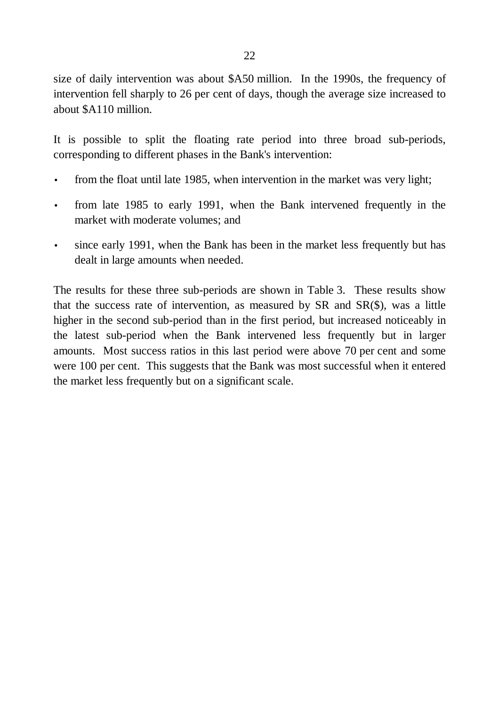size of daily intervention was about \$A50 million. In the 1990s, the frequency of intervention fell sharply to 26 per cent of days, though the average size increased to about \$A110 million.

It is possible to split the floating rate period into three broad sub-periods, corresponding to different phases in the Bank's intervention:

- from the float until late 1985, when intervention in the market was very light;
- from late 1985 to early 1991, when the Bank intervened frequently in the market with moderate volumes; and
- since early 1991, when the Bank has been in the market less frequently but has dealt in large amounts when needed.

The results for these three sub-periods are shown in Table 3. These results show that the success rate of intervention, as measured by SR and SR(\$), was a little higher in the second sub-period than in the first period, but increased noticeably in the latest sub-period when the Bank intervened less frequently but in larger amounts. Most success ratios in this last period were above 70 per cent and some were 100 per cent. This suggests that the Bank was most successful when it entered the market less frequently but on a significant scale.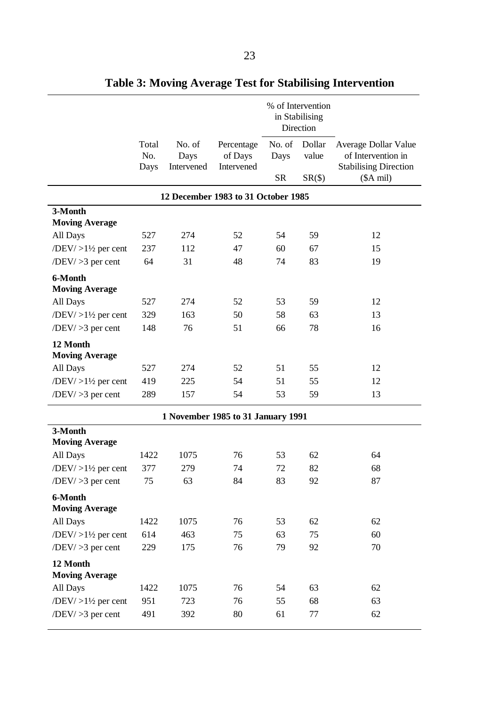|                                               |                      |                              |                                     | % of Intervention<br>in Stabilising<br>Direction |                                         |                                                                                                  |  |
|-----------------------------------------------|----------------------|------------------------------|-------------------------------------|--------------------------------------------------|-----------------------------------------|--------------------------------------------------------------------------------------------------|--|
|                                               | Total<br>No.<br>Days | No. of<br>Days<br>Intervened | Percentage<br>of Days<br>Intervened | No. of<br>Days<br><b>SR</b>                      | Dollar<br>value<br>$SR(\text{$\circ$})$ | Average Dollar Value<br>of Intervention in<br><b>Stabilising Direction</b><br>$($A \text{ mil})$ |  |
|                                               |                      |                              | 12 December 1983 to 31 October 1985 |                                                  |                                         |                                                                                                  |  |
| 3-Month                                       |                      |                              |                                     |                                                  |                                         |                                                                                                  |  |
| <b>Moving Average</b>                         |                      |                              |                                     |                                                  |                                         |                                                                                                  |  |
| All Days                                      | 527                  | 274                          | 52                                  | 54                                               | 59                                      | 12                                                                                               |  |
| /DEV/ $>1\frac{1}{2}$ per cent                | 237                  | 112                          | 47                                  | 60                                               | 67                                      | 15                                                                                               |  |
| $/$ DEV $/$ $>$ 3 per cent                    | 64                   | 31                           | 48                                  | 74                                               | 83                                      | 19                                                                                               |  |
| 6-Month<br><b>Moving Average</b>              |                      |                              |                                     |                                                  |                                         |                                                                                                  |  |
| All Days                                      | 527                  | 274                          | 52                                  | 53                                               | 59                                      | 12                                                                                               |  |
| $\langle DEV \rangle > 1\frac{1}{2}$ per cent | 329                  | 163                          | 50                                  | 58                                               | 63                                      | 13                                                                                               |  |
| $\langle$ DEV $/$ > 3 per cent                | 148                  | 76                           | 51                                  | 66                                               | 78                                      | 16                                                                                               |  |
| 12 Month<br><b>Moving Average</b>             |                      |                              |                                     |                                                  |                                         |                                                                                                  |  |
| All Days                                      | 527                  | 274                          | 52                                  | 51                                               | 55                                      | 12                                                                                               |  |
| /DEV/ $>1\frac{1}{2}$ per cent                | 419                  | 225                          | 54                                  | 51                                               | 55                                      | 12                                                                                               |  |
| $/$ DEV $/$ $>$ 3 per cent                    | 289                  | 157                          | 54                                  | 53                                               | 59                                      | 13                                                                                               |  |
|                                               |                      |                              | 1 November 1985 to 31 January 1991  |                                                  |                                         |                                                                                                  |  |
| 3-Month<br><b>Moving Average</b>              |                      |                              |                                     |                                                  |                                         |                                                                                                  |  |
| All Days                                      | 1422                 | 1075                         | 76                                  | 53                                               | 62                                      | 64                                                                                               |  |
| /DEV/ $>1\frac{1}{2}$ per cent                | 377                  | 279                          | 74                                  | 72                                               | 82                                      | 68                                                                                               |  |
| $/$ DEV $/$ $>$ 3 per cent                    | 75                   | 63                           | 84                                  | 83                                               | 92                                      | 87                                                                                               |  |
| 6-Month<br><b>Moving Average</b>              |                      |                              |                                     |                                                  |                                         |                                                                                                  |  |
| All Days                                      | 1422                 | 1075                         | 76                                  | 53                                               | 62                                      | 62                                                                                               |  |
| /DEV/ $>1\frac{1}{2}$ per cent                | 614                  | 463                          | 75                                  | 63                                               | 75                                      | 60                                                                                               |  |
| $/$ DEV $/$ $>$ 3 per cent                    | 229                  | 175                          | 76                                  | 79                                               | 92                                      | 70                                                                                               |  |
| 12 Month<br><b>Moving Average</b>             |                      |                              |                                     |                                                  |                                         |                                                                                                  |  |
| All Days                                      | 1422                 | 1075                         | 76                                  | 54                                               | 63                                      | 62                                                                                               |  |
| $/$ DEV $/$ >1½ per cent                      | 951                  | 723                          | 76                                  | 55                                               | 68                                      | 63                                                                                               |  |
| $/$ DEV $/$ $>$ 3 per cent                    | 491                  | 392                          | 80                                  | 61                                               | 77                                      | 62                                                                                               |  |

**Table 3: Moving Average Test for Stabilising Intervention**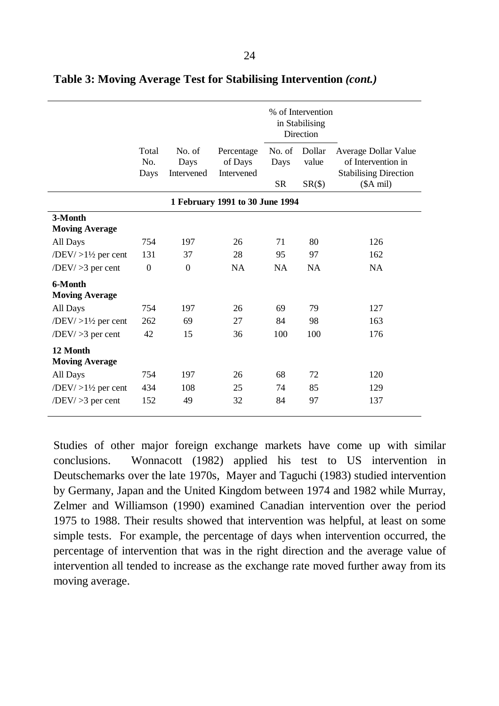|                                               |              |                |                                 | % of Intervention<br>in Stabilising<br>Direction |                 |                                            |
|-----------------------------------------------|--------------|----------------|---------------------------------|--------------------------------------------------|-----------------|--------------------------------------------|
|                                               | Total<br>No. | No. of<br>Days | Percentage<br>of Days           | No. of<br>Days                                   | Dollar<br>value | Average Dollar Value<br>of Intervention in |
|                                               | Days         | Intervened     | Intervened                      |                                                  |                 | <b>Stabilising Direction</b>               |
|                                               |              |                |                                 | <b>SR</b>                                        | $SR(\text{\$})$ | $($A \text{ mil})$                         |
|                                               |              |                | 1 February 1991 to 30 June 1994 |                                                  |                 |                                            |
| 3-Month                                       |              |                |                                 |                                                  |                 |                                            |
| <b>Moving Average</b>                         |              |                |                                 |                                                  |                 |                                            |
| All Days                                      | 754          | 197            | 26                              | 71                                               | 80              | 126                                        |
| $\langle DEV \rangle > 1\frac{1}{2}$ per cent | 131          | 37             | 28                              | 95                                               | 97              | 162                                        |
| $/$ DEV $/$ $>$ 3 per cent                    | $\mathbf{0}$ | $\mathbf{0}$   | <b>NA</b>                       | <b>NA</b>                                        | NA              | <b>NA</b>                                  |
| 6-Month                                       |              |                |                                 |                                                  |                 |                                            |
| <b>Moving Average</b>                         |              |                |                                 |                                                  |                 |                                            |
| All Days                                      | 754          | 197            | 26                              | 69                                               | 79              | 127                                        |
| /DEV/ $>1\frac{1}{2}$ per cent                | 262          | 69             | 27                              | 84                                               | 98              | 163                                        |
| $/$ DEV $/$ $>$ 3 per cent                    | 42           | 15             | 36                              | 100                                              | 100             | 176                                        |
| 12 Month                                      |              |                |                                 |                                                  |                 |                                            |
| <b>Moving Average</b>                         |              |                |                                 |                                                  |                 |                                            |
| All Days                                      | 754          | 197            | 26                              | 68                                               | 72              | 120                                        |
| /DEV/ $>1\frac{1}{2}$ per cent                | 434          | 108            | 25                              | 74                                               | 85              | 129                                        |
| $/$ DEV $/$ $>$ 3 per cent                    | 152          | 49             | 32                              | 84                                               | 97              | 137                                        |

**Table 3: Moving Average Test for Stabilising Intervention** *(cont.)*

Studies of other major foreign exchange markets have come up with similar conclusions. Wonnacott (1982) applied his test to US intervention in Deutschemarks over the late 1970s, Mayer and Taguchi (1983) studied intervention by Germany, Japan and the United Kingdom between 1974 and 1982 while Murray, Zelmer and Williamson (1990) examined Canadian intervention over the period 1975 to 1988. Their results showed that intervention was helpful, at least on some simple tests. For example, the percentage of days when intervention occurred, the percentage of intervention that was in the right direction and the average value of intervention all tended to increase as the exchange rate moved further away from its moving average.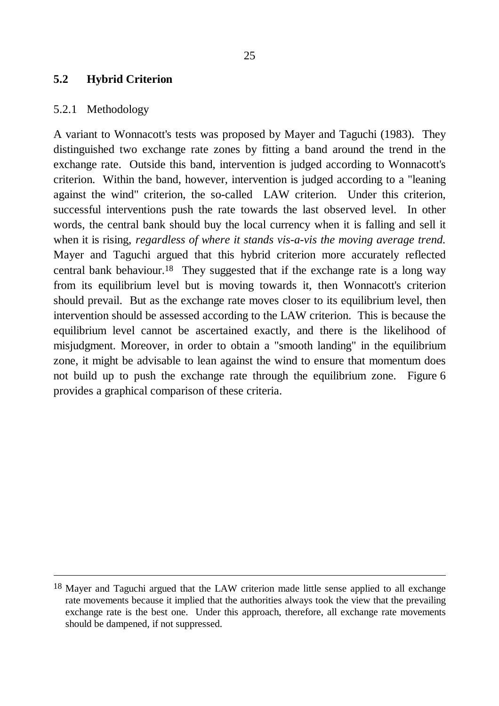#### **5.2 Hybrid Criterion**

#### 5.2.1 Methodology

 $\overline{a}$ 

A variant to Wonnacott's tests was proposed by Mayer and Taguchi (1983). They distinguished two exchange rate zones by fitting a band around the trend in the exchange rate. Outside this band, intervention is judged according to Wonnacott's criterion. Within the band, however, intervention is judged according to a "leaning against the wind" criterion, the so-called LAW criterion. Under this criterion, successful interventions push the rate towards the last observed level. In other words, the central bank should buy the local currency when it is falling and sell it when it is rising, *regardless of where it stands vis-a-vis the moving average trend.* Mayer and Taguchi argued that this hybrid criterion more accurately reflected central bank behaviour.<sup>18</sup> They suggested that if the exchange rate is a long way from its equilibrium level but is moving towards it, then Wonnacott's criterion should prevail. But as the exchange rate moves closer to its equilibrium level, then intervention should be assessed according to the LAW criterion. This is because the equilibrium level cannot be ascertained exactly, and there is the likelihood of misjudgment. Moreover, in order to obtain a "smooth landing" in the equilibrium zone, it might be advisable to lean against the wind to ensure that momentum does not build up to push the exchange rate through the equilibrium zone. Figure 6 provides a graphical comparison of these criteria.

<sup>18</sup> Mayer and Taguchi argued that the LAW criterion made little sense applied to all exchange rate movements because it implied that the authorities always took the view that the prevailing exchange rate is the best one. Under this approach, therefore, all exchange rate movements should be dampened, if not suppressed.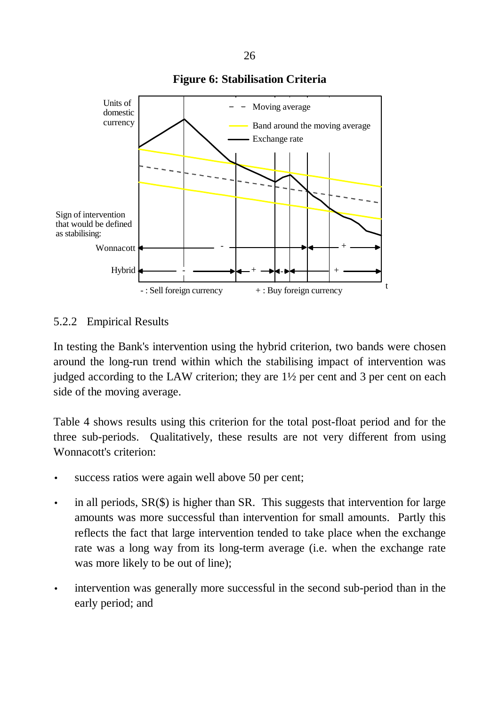

#### **Figure 6: Stabilisation Criteria**

#### 5.2.2 Empirical Results

In testing the Bank's intervention using the hybrid criterion, two bands were chosen around the long-run trend within which the stabilising impact of intervention was judged according to the LAW criterion; they are 1½ per cent and 3 per cent on each side of the moving average.

Table 4 shows results using this criterion for the total post-float period and for the three sub-periods. Qualitatively, these results are not very different from using Wonnacott's criterion:

- success ratios were again well above 50 per cent;
- in all periods,  $SR(\text{\$})$  is higher than  $SR$ . This suggests that intervention for large amounts was more successful than intervention for small amounts. Partly this reflects the fact that large intervention tended to take place when the exchange rate was a long way from its long-term average (i.e. when the exchange rate was more likely to be out of line);
- intervention was generally more successful in the second sub-period than in the early period; and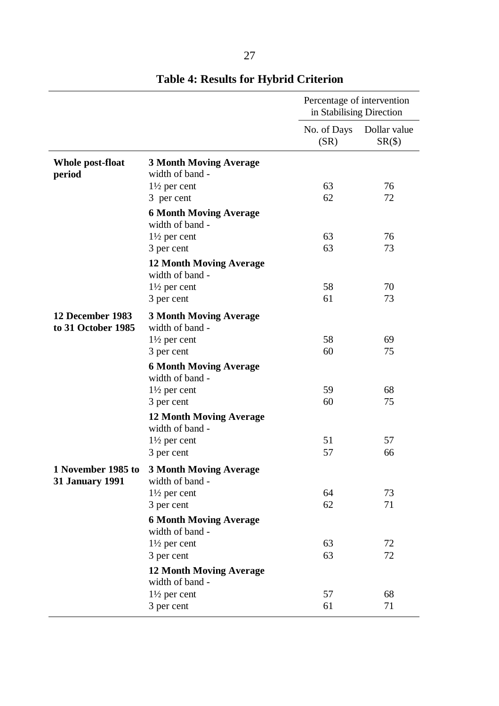|                                              |                                                   | Percentage of intervention<br>in Stabilising Direction |                                      |  |
|----------------------------------------------|---------------------------------------------------|--------------------------------------------------------|--------------------------------------|--|
|                                              |                                                   | No. of Days<br>(SR)                                    | Dollar value<br>$SR(\text{$\circ$})$ |  |
| <b>Whole post-float</b><br>period            | <b>3 Month Moving Average</b><br>width of band -  |                                                        |                                      |  |
|                                              | $1\frac{1}{2}$ per cent                           | 63                                                     | 76                                   |  |
|                                              | 3 per cent                                        | 62                                                     | 72                                   |  |
|                                              | <b>6 Month Moving Average</b><br>width of band -  |                                                        |                                      |  |
|                                              | $1\frac{1}{2}$ per cent                           | 63                                                     | 76                                   |  |
|                                              | 3 per cent                                        | 63                                                     | 73                                   |  |
|                                              | <b>12 Month Moving Average</b><br>width of band - |                                                        |                                      |  |
|                                              | $1\frac{1}{2}$ per cent                           | 58                                                     | 70                                   |  |
|                                              | 3 per cent                                        | 61                                                     | 73                                   |  |
| 12 December 1983<br>to 31 October 1985       | <b>3 Month Moving Average</b><br>width of band -  |                                                        |                                      |  |
|                                              | $1\frac{1}{2}$ per cent                           | 58                                                     | 69                                   |  |
|                                              | 3 per cent                                        | 60                                                     | 75                                   |  |
|                                              | <b>6 Month Moving Average</b><br>width of band -  |                                                        |                                      |  |
|                                              | $1\frac{1}{2}$ per cent                           | 59                                                     | 68                                   |  |
|                                              | 3 per cent                                        | 60                                                     | 75                                   |  |
|                                              | <b>12 Month Moving Average</b><br>width of band - |                                                        |                                      |  |
|                                              | $1\frac{1}{2}$ per cent                           | 51                                                     | 57                                   |  |
|                                              | 3 per cent                                        | 57                                                     | 66                                   |  |
| 1 November 1985 to<br><b>31 January 1991</b> | <b>3 Month Moving Average</b><br>width of band -  |                                                        |                                      |  |
|                                              | $1\frac{1}{2}$ per cent                           | 64                                                     | 73                                   |  |
|                                              | 3 per cent                                        | 62                                                     | 71                                   |  |
|                                              | <b>6 Month Moving Average</b><br>width of band -  |                                                        |                                      |  |
|                                              | $1\frac{1}{2}$ per cent                           | 63                                                     | 72                                   |  |
|                                              | 3 per cent                                        | 63                                                     | 72                                   |  |
|                                              | <b>12 Month Moving Average</b><br>width of band - |                                                        |                                      |  |
|                                              | $1\frac{1}{2}$ per cent                           | 57                                                     | 68                                   |  |
|                                              | 3 per cent                                        | 61                                                     | 71                                   |  |

# **Table 4: Results for Hybrid Criterion**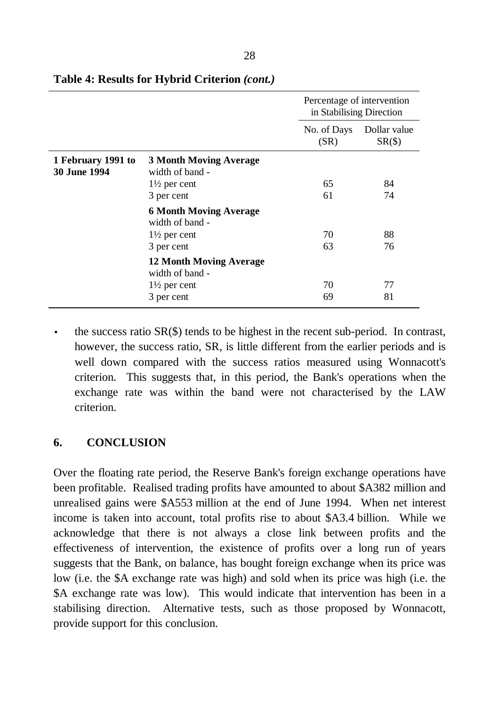|                                           |                                                   | Percentage of intervention<br>in Stabilising Direction |                                |  |
|-------------------------------------------|---------------------------------------------------|--------------------------------------------------------|--------------------------------|--|
|                                           |                                                   | No. of Days<br>(SR)                                    | Dollar value<br>$SR(\text{S})$ |  |
| 1 February 1991 to<br><b>30 June 1994</b> | <b>3 Month Moving Average</b><br>width of band -  |                                                        |                                |  |
|                                           | $1\frac{1}{2}$ per cent                           | 65                                                     | 84                             |  |
|                                           | 3 per cent                                        | 61                                                     | 74                             |  |
|                                           | <b>6 Month Moving Average</b><br>width of band -  |                                                        |                                |  |
|                                           | $1\frac{1}{2}$ per cent                           | 70                                                     | 88                             |  |
|                                           | 3 per cent                                        | 63                                                     | 76                             |  |
|                                           | <b>12 Month Moving Average</b><br>width of band - |                                                        |                                |  |
|                                           | $1\frac{1}{2}$ per cent                           | 70                                                     | 77                             |  |
|                                           | 3 per cent                                        | 69                                                     | 81                             |  |

#### **Table 4: Results for Hybrid Criterion** *(cont.)*

the success ratio  $SR(\$)$  tends to be highest in the recent sub-period. In contrast, however, the success ratio, SR, is little different from the earlier periods and is well down compared with the success ratios measured using Wonnacott's criterion. This suggests that, in this period, the Bank's operations when the exchange rate was within the band were not characterised by the LAW criterion.

### **6. CONCLUSION**

Over the floating rate period, the Reserve Bank's foreign exchange operations have been profitable. Realised trading profits have amounted to about \$A382 million and unrealised gains were \$A553 million at the end of June 1994. When net interest income is taken into account, total profits rise to about \$A3.4 billion. While we acknowledge that there is not always a close link between profits and the effectiveness of intervention, the existence of profits over a long run of years suggests that the Bank, on balance, has bought foreign exchange when its price was low (i.e. the \$A exchange rate was high) and sold when its price was high (i.e. the \$A exchange rate was low). This would indicate that intervention has been in a stabilising direction. Alternative tests, such as those proposed by Wonnacott, provide support for this conclusion.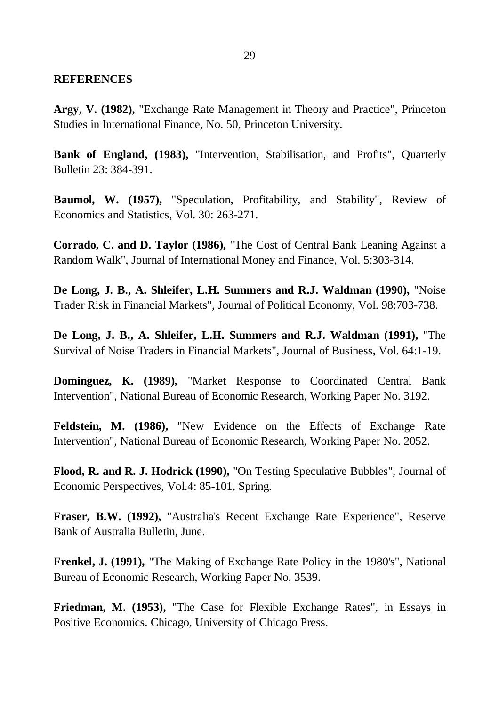#### **REFERENCES**

**Argy, V. (1982),** "Exchange Rate Management in Theory and Practice", Princeton Studies in International Finance, No. 50, Princeton University.

**Bank of England, (1983),** "Intervention, Stabilisation, and Profits", Quarterly Bulletin 23: 384-391.

**Baumol, W. (1957),** "Speculation, Profitability, and Stability", Review of Economics and Statistics, Vol. 30: 263-271.

**Corrado, C. and D. Taylor (1986),** "The Cost of Central Bank Leaning Against a Random Walk", Journal of International Money and Finance, Vol. 5:303-314.

**De Long, J. B., A. Shleifer, L.H. Summers and R.J. Waldman (1990),** "Noise Trader Risk in Financial Markets", Journal of Political Economy, Vol. 98:703-738.

**De Long, J. B., A. Shleifer, L.H. Summers and R.J. Waldman (1991),** "The Survival of Noise Traders in Financial Markets", Journal of Business, Vol. 64:1-19.

**Dominguez, K. (1989),** "Market Response to Coordinated Central Bank Intervention", National Bureau of Economic Research, Working Paper No. 3192.

**Feldstein, M. (1986),** "New Evidence on the Effects of Exchange Rate Intervention", National Bureau of Economic Research, Working Paper No. 2052.

**Flood, R. and R. J. Hodrick (1990),** "On Testing Speculative Bubbles", Journal of Economic Perspectives, Vol.4: 85-101, Spring.

**Fraser, B.W. (1992),** "Australia's Recent Exchange Rate Experience", Reserve Bank of Australia Bulletin, June.

**Frenkel, J. (1991),** "The Making of Exchange Rate Policy in the 1980's", National Bureau of Economic Research, Working Paper No. 3539.

**Friedman, M. (1953),** "The Case for Flexible Exchange Rates", in Essays in Positive Economics. Chicago, University of Chicago Press.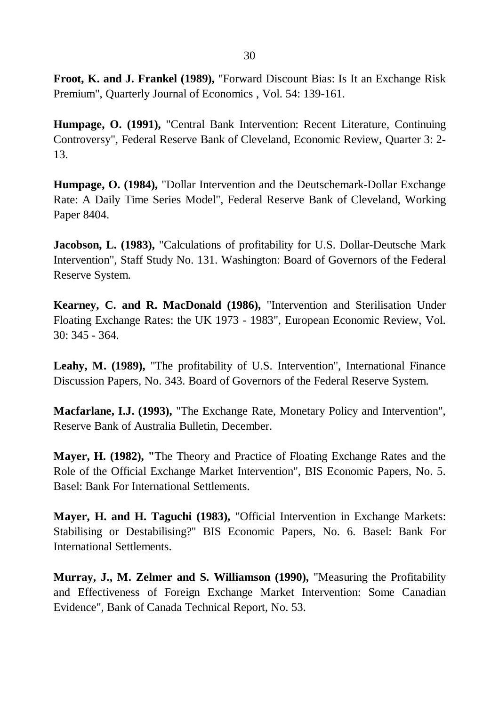**Froot, K. and J. Frankel (1989),** "Forward Discount Bias: Is It an Exchange Risk Premium", Quarterly Journal of Economics , Vol. 54: 139-161.

**Humpage, O. (1991),** "Central Bank Intervention: Recent Literature, Continuing Controversy", Federal Reserve Bank of Cleveland, Economic Review, Quarter 3: 2- 13.

**Humpage, O. (1984),** "Dollar Intervention and the Deutschemark-Dollar Exchange Rate: A Daily Time Series Model", Federal Reserve Bank of Cleveland, Working Paper 8404.

**Jacobson, L. (1983), "Calculations of profitability for U.S. Dollar-Deutsche Mark** Intervention", Staff Study No. 131. Washington: Board of Governors of the Federal Reserve System.

**Kearney, C. and R. MacDonald (1986),** "Intervention and Sterilisation Under Floating Exchange Rates: the UK 1973 - 1983", European Economic Review, Vol. 30: 345 - 364.

**Leahy, M. (1989),** "The profitability of U.S. Intervention", International Finance Discussion Papers, No. 343. Board of Governors of the Federal Reserve System.

**Macfarlane, I.J. (1993),** "The Exchange Rate, Monetary Policy and Intervention", Reserve Bank of Australia Bulletin, December.

**Mayer, H. (1982), "**The Theory and Practice of Floating Exchange Rates and the Role of the Official Exchange Market Intervention", BIS Economic Papers, No. 5. Basel: Bank For International Settlements.

**Mayer, H. and H. Taguchi (1983),** "Official Intervention in Exchange Markets: Stabilising or Destabilising?" BIS Economic Papers, No. 6. Basel: Bank For International Settlements.

**Murray, J., M. Zelmer and S. Williamson (1990),** "Measuring the Profitability and Effectiveness of Foreign Exchange Market Intervention: Some Canadian Evidence", Bank of Canada Technical Report, No. 53.